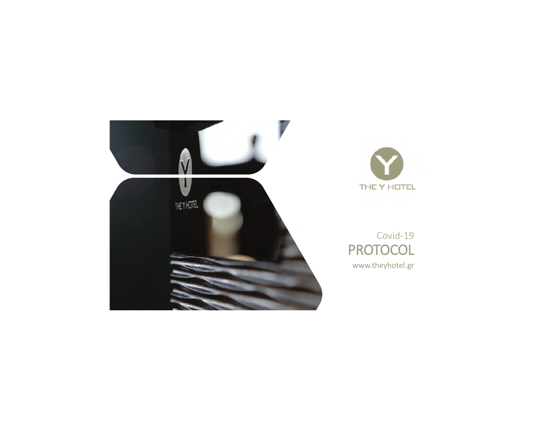



# Covid-19 PROTOCOL

www.theyhotel.gr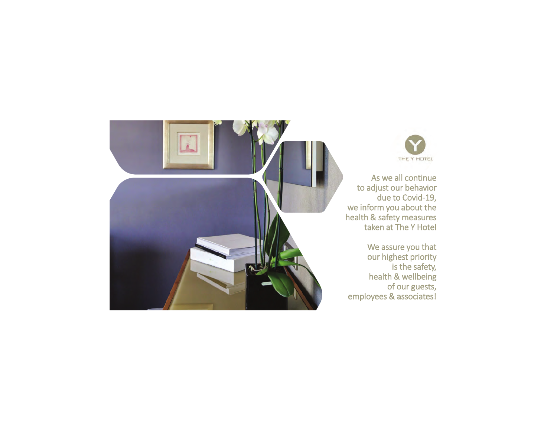

As we all continue to adjust our behavior due to Covid-19, we inform you about the health & safety measures taken at The Y Hotel

We assure you that our highest priority is the safety, health & wellbeing of our guests, employees & associates!

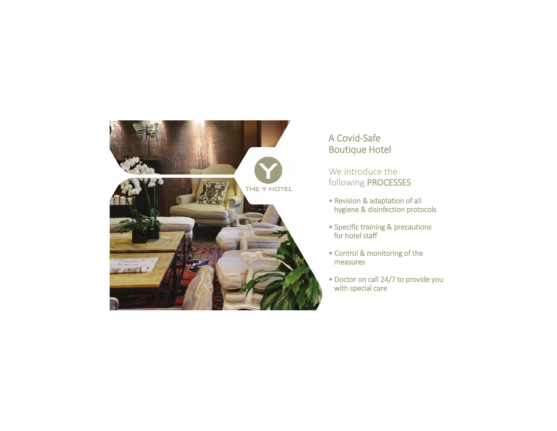

# A Covid-Safe Boutique Hotel

We introduce the following PROCESSES

- Revision & adaptation of all hygiene & disinfection protocols
- Specific training & precautions for hotel staff
- Control & monitoring of the measures
- Doctor on call 24/7 to provide you with special care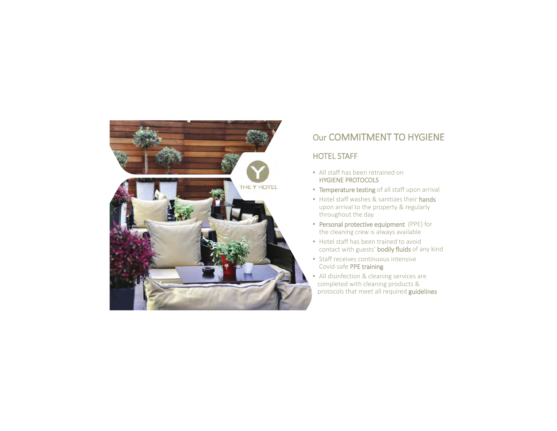

# Our COMMITMENT TO HYGIENE

#### HOTEL STAFF

- All staff has been retrained on HYGIENE PROTOCOLS
- Temperature testing of all staff upon arrival
- Hotel staff washes & sanitizes their hands upon arrival to the property & regularly throughout the day
- Personal protective equipment (PPE) for the cleaning crew is always available
- Hotel staff has been trained to avoid contact with guests' bodily fluids of any kind
- Staff receives continuous intensive Covid-safe PPE training
- • All disinfection & cleaning services are completed with cleaning products & protocols that meet all required guidelines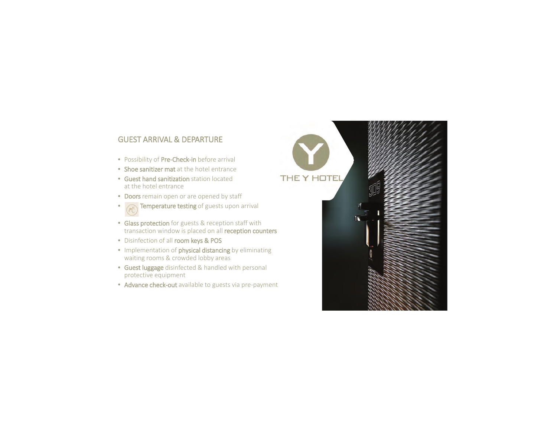#### GUEST ARRIVAL & DEPARTURE

- Possibility of Pre-Check-in before arrival
- **Shoe sanitizer mat** at the hotel entrance
- Guest hand sanitization station locatedat the hotel entrance
- •• Doors remain open or are opened by staff
- Temperature testing of guests upon arrival
- •Glass protection for guests & reception staff with transaction window is placed on all reception counters

THE<sup>1</sup>

• Disinfection of all room keys & POS

•

- Implementation of **physical distancing** by eliminating waiting rooms & crowded lobby areas
- Guest luggage disinfected & handled with personal protective equipment
- Advance check-out available to guests via pre-payment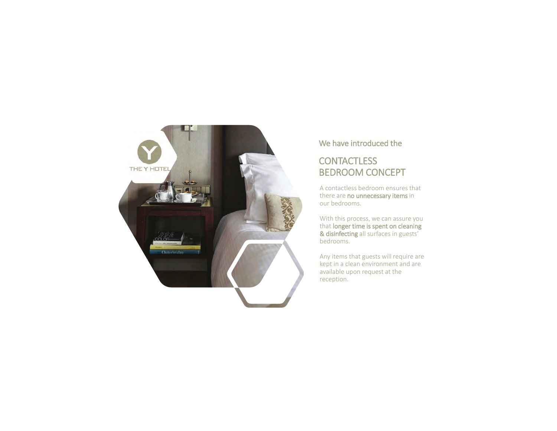

#### We have introduced the

# **CONTACTLESS** BEDROOM CONCEPT

A contactless bedroom ensures that there are no unnecessary items in our bedrooms.

With this process, we can assure you that longer time is spent on cleaning & disinfecting all surfaces in guests' bedrooms.

Any items that guests will require are kept in a clean environment and are available upon request at the reception.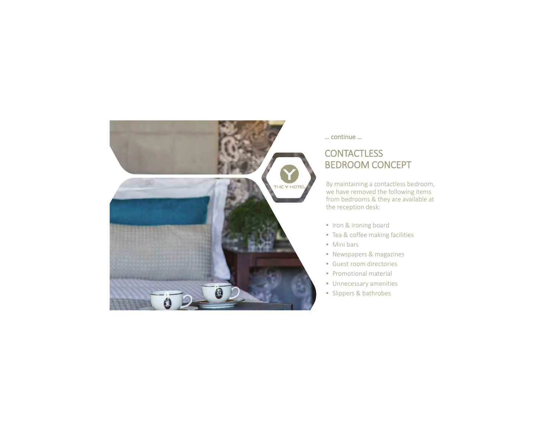

#### … continue …

# **CONTACTLESS** BEDROOM CONCEPT

By maintaining a contactless bedroom, we have removed the following items from bedrooms & they are available at the reception desk:

- Iron & ironing board
- Tea & coffee making facilities
- Mini bars
- Newspapers & magazines
- Guest room directories
- Promotional material
- Unnecessary amenities
- Slippers & bathrobes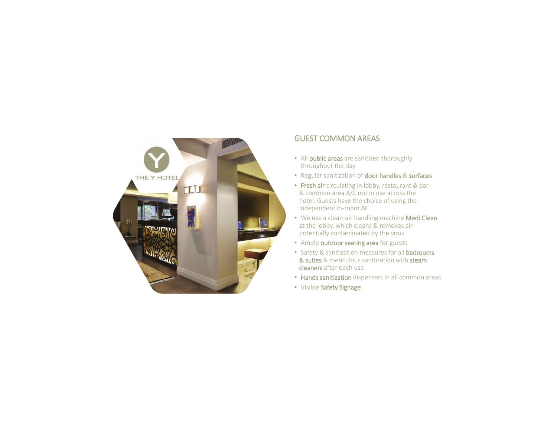

#### GUEST COMMON AREAS

- All **public areas** are sanitized thoroughly throughout the day
- Regular sanitization of door handles & surfaces
- Fresh air circulating in lobby, restaurant & bar & common area A/C not in use across the hotel. Guests have the choice of using the independent in-room AC
- We use a clean-air handling machine Medi Clear at the lobby, which cleans & removes air potentially contaminated by the virus
- Ample outdoor seating area for guests
- Safety & sanitization measures for all **bedrooms** & suites & meticulous sanitization with steam cleaners after each use
- Hands sanitization dispensers in all common areas
- Visible Safety Signage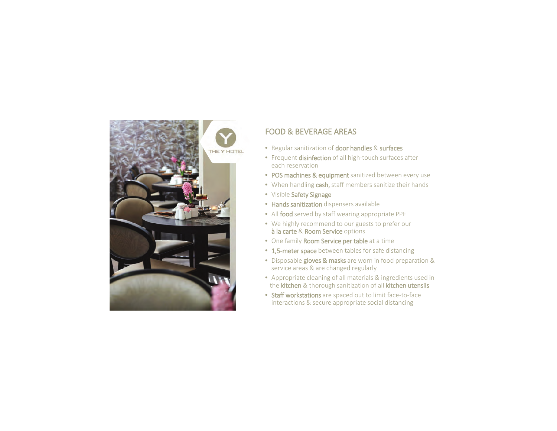

# FOOD & BEVERAGE AREAS

- Regular sanitization of **door handles** & **surfaces**
- Frequent **disinfection** of all high-touch surfaces after each reservation
- POS machines & equipment sanitized between every use
- When handling cash, staff members sanitize their hands
- Visible Safety Signage
- Hands sanitization dispensers available
- All food served by staff wearing appropriate PPE
- We highly recommend to our guests to prefer our à la carte & Room Service options
- One family Room Service per table at a time
- 1,5-meter space between tables for safe distancing
- Disposable gloves & masks are worn in food preparation & service areas & are changed regularly
- Appropriate cleaning of all materials & ingredients used in the kitchen & thorough sanitization of all kitchen utensils
- Staff workstations are spaced out to limit face-to-face interactions & secure appropriate social distancing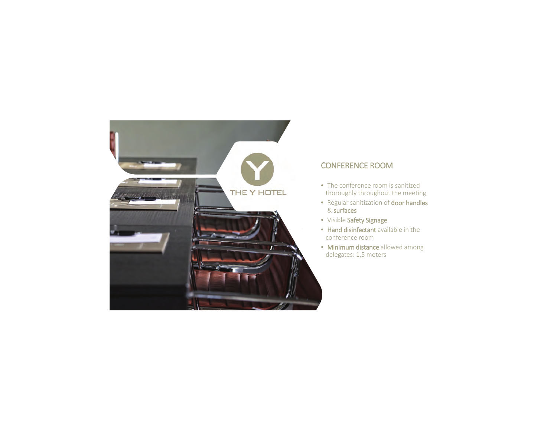

#### CONFERENCE ROOM

- The conference room is sanitized thoroughly throughout the meeting
- Regular sanitization of **door handles** & surfaces
- Visible Safety Signage
- Hand disinfectant available in the conference room
- Minimum distance allowed among delegates: 1,5 meters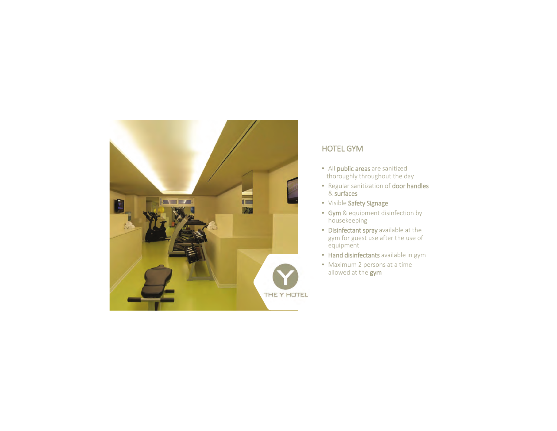

#### HOTEL GYM

- All public areas are sanitized thoroughly throughout the day
- Regular sanitization of **door handles** & surfaces
- Visible Safety Signage
- • Gym & equipment disinfection by housekeeping
- Disinfectant spray available at the gym for guest use after the use of equipment
- Hand disinfectants available in gym
- Maximum 2 persons at a time allowed at the gym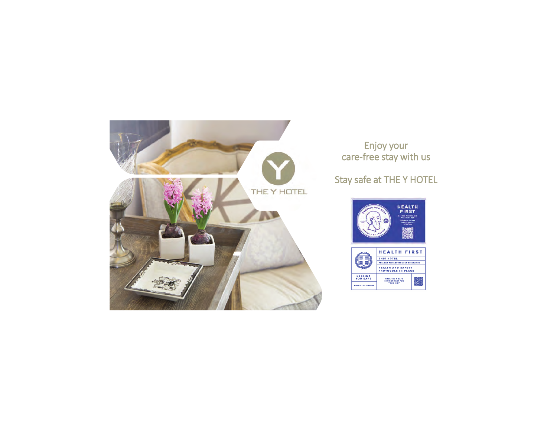

### Enjoy your care-free stay with us

# Stay safe at THE Y HOTEL